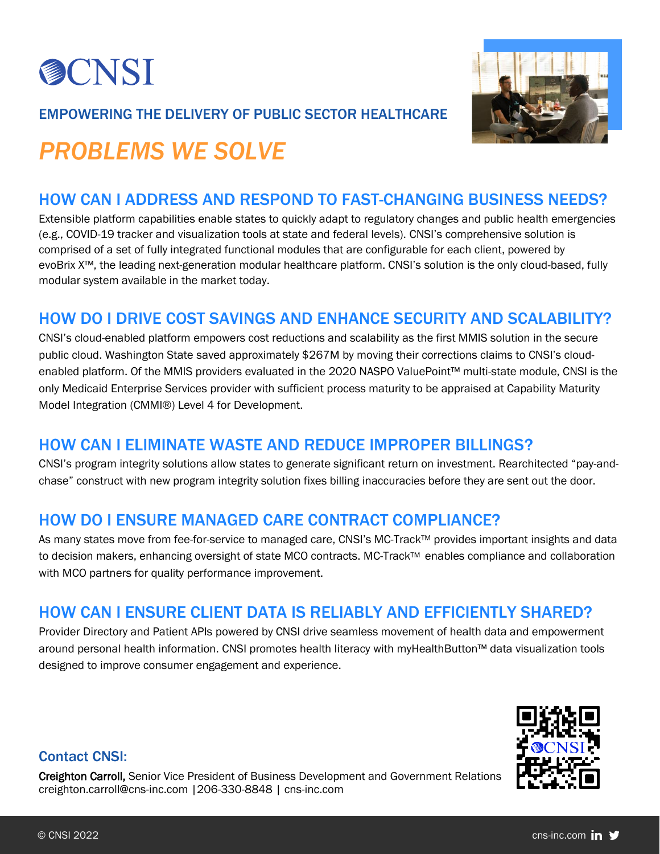

#### EMPOWERING THE DELIVERY OF PUBLIC SECTOR HEALTHCARE



# *PROBLEMS WE SOLVE*

## HOW CAN I ADDRESS AND RESPOND TO FAST-CHANGING BUSINESS NEEDS?

Extensible platform capabilities enable states to quickly adapt to regulatory changes and public health emergencies (e.g., COVID-19 tracker and visualization tools at state and federal levels). CNSI's comprehensive solution is comprised of a set of fully integrated functional modules that are configurable for each client, powered by evoBrix X™, the leading next-generation modular healthcare platform. CNSI's solution is the only cloud-based, fully modular system available in the market today.

### HOW DO I DRIVE COST SAVINGS AND ENHANCE SECURITY AND SCALABILITY?

CNSI's cloud-enabled platform empowers cost reductions and scalability as the first MMIS solution in the secure public cloud. Washington State saved approximately \$267M by moving their corrections claims to CNSI's cloudenabled platform. Of the MMIS providers evaluated in the 2020 NASPO ValuePoint™ multi-state module, CNSI is the only Medicaid Enterprise Services provider with sufficient process maturity to be appraised at Capability Maturity Model Integration (CMMI®) Level 4 for Development.

#### HOW CAN I ELIMINATE WASTE AND REDUCE IMPROPER BILLINGS?

CNSI's program integrity solutions allow states to generate significant return on investment. Rearchitected "pay-andchase" construct with new program integrity solution fixes billing inaccuracies before they are sent out the door.

### HOW DO I ENSURE MANAGED CARE CONTRACT COMPLIANCE?

As many states move from fee-for-service to managed care, CNSI's MC-Track™ provides important insights and data to decision makers, enhancing oversight of state MCO contracts. MC-Track<sup>TM</sup> enables compliance and collaboration with MCO partners for quality performance improvement.

### HOW CAN I ENSURE CLIENT DATA IS RELIABLY AND EFFICIENTLY SHARED?

Provider Directory and Patient APIs powered by CNSI drive seamless movement of health data and empowerment around personal health information. CNSI promotes health literacy with myHealthButton™ data visualization tools designed to improve consumer engagement and experience.



#### Contact CNSI:

Creighton Carroll, Senior Vice President of Business Development and Government Relations creighton.carroll@cns-inc.com |206-330-8848 | cns-inc.com